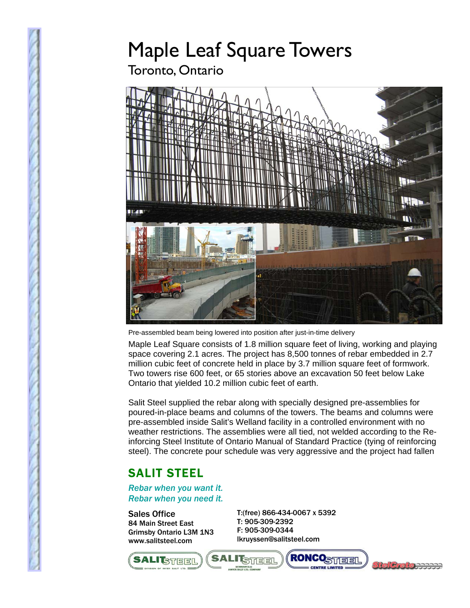## Maple Leaf Square Towers

Toronto, Ontario



Pre-assembled beam being lowered into position after just-in-time delivery

Maple Leaf Square consists of 1.8 million square feet of living, working and playing space covering 2.1 acres. The project has 8,500 tonnes of rebar embedded in 2.7 million cubic feet of concrete held in place by 3.7 million square feet of formwork. Two towers rise 600 feet, or 65 stories above an excavation 50 feet below Lake Ontario that yielded 10.2 million cubic feet of earth.

Salit Steel supplied the rebar along with specially designed pre-assemblies for poured-in-place beams and columns of the towers. The beams and columns were pre-assembled inside Salit's Welland facility in a controlled environment with no weather restrictions. The assemblies were all tied, not welded according to the Reinforcing Steel Institute of Ontario Manual of Standard Practice (tying of reinforcing steel). The concrete pour schedule was very aggressive and the project had fallen

## SALIT STEEL

*Rebar when you want it. Rebar when you need it.* 

Sales Office 84 Main Street East Grimsby Ontario L3M 1N3 www.salitsteel.com

T:(free) 866-434-0067 x 5392 T: 905-309-2392 F: 905-309-0344 lkruyssen@salitsteel.com



**I STEEL**